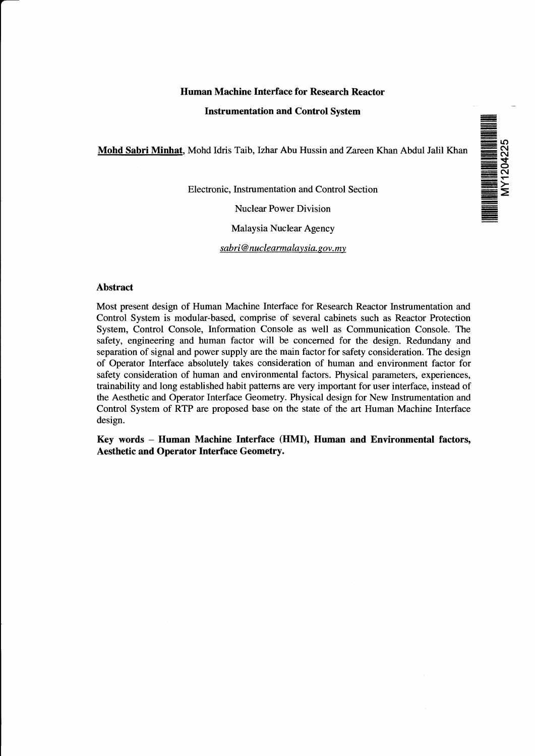# **Human Machine Interface for Research Reactor**

#### **Instrumentation and Control System**

**Mohd Sahri Minhat.** Mohd Idris Taib, Izhar Abu Hussin and Zareen Khan Abdul Jalil Khan

Electronic, Instrumentation and Control Section

Nuclear Power Division

Malaysia Nuclear Agency

*sabri* @ *nuclearmalavsia. sov. my*



#### **Abstract**

Most present design of Human Machine Interface for Research Reactor Instrumentation and Control System is modular-based, comprise of several cabinets such as Reactor Protection System, Control Console, Information Console as well as Communication Console. The safety, engineering and human factor will be concerned for the design. Redundany and separation of signal and power supply are the main factor for safety consideration. The design of Operator Interface absolutely takes consideration of human and environment factor for safety consideration of human and environmental factors. Physical parameters, experiences, trainability and long established habit patterns are very important for user interface, instead of the Aesthetic and Operator Interface Geometry. Physical design for New Instrumentation and Control System of RTP are proposed base on the state of the art Human Machine Interface design.

**Key words - Human Machine Interface (HMI), Human and Environmental factors, Aesthetic and Operator Interface Geometry.**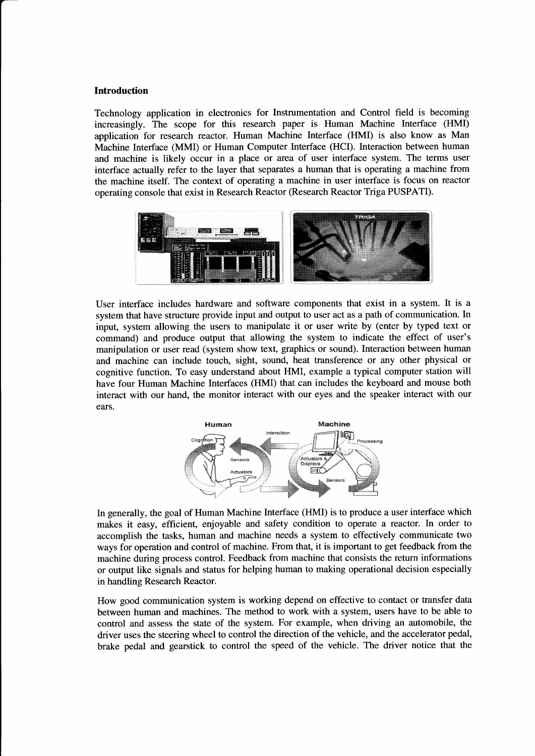### **Introduction**

Technology application in electronics for Instrumentation and Control field is becoming increasingly. The scope for this research paper is Human Machine Interface (HMI) application for research reactor. Human Machine Interface (HMI) is also know as Man Machine Interface (MMI) or Human Computer Interface (HCI). Interaction between human and machine is likely occur in a place or area of user interface system. The terms user interface actually refer to the layer that separates a human that is operating a machine from the machine itself. The context of operating a machine in user interface is focus on reactor operating console that exist in Research Reactor (Research Reactor Triga PUSPATI).



User interface includes hardware and software components that exist in a system. It is a system that have structure provide input and output to user act as a path of communication. In input, system allowing the users to manipulate it or user write by (enter by typed text or command) and produce output that allowing the system to indicate the effect of user's manipulation or user read (system show text, graphics or sound). Interaction between human and machine can include touch, sight, sound, heat transference or any other physical or cognitive function. To easy understand about HMI, example a typical computer station will have four Human Machine Interfaces (HMI) that can includes the keyboard and mouse both interact with our hand, the monitor interact with our eyes and the speaker interact with our ears.



In generally, the goal of Human Machine Interface (HMI) is to produce a user interface which makes it easy, efficient, enjoyable and safety condition to operate a reactor. In order to accomplish the tasks, human and machine needs a system to effectively communicate two ways for operation and control of machine. From that, it is important to get feedback from the machine during process control. Feedback from machine that consists the return informations or output like signals and status for helping human to making operational decision especially in handling Research Reactor.

How good communication system is working depend on effective to contact or transfer data between human and machines. The method to work with a system, users have to be able to control and assess the state of the system. For example, when driving an automobile, the driver uses the steering wheel to control the direction of the vehicle, and the accelerator pedal, brake pedal and gearstick to control the speed of the vehicle. The driver notice that the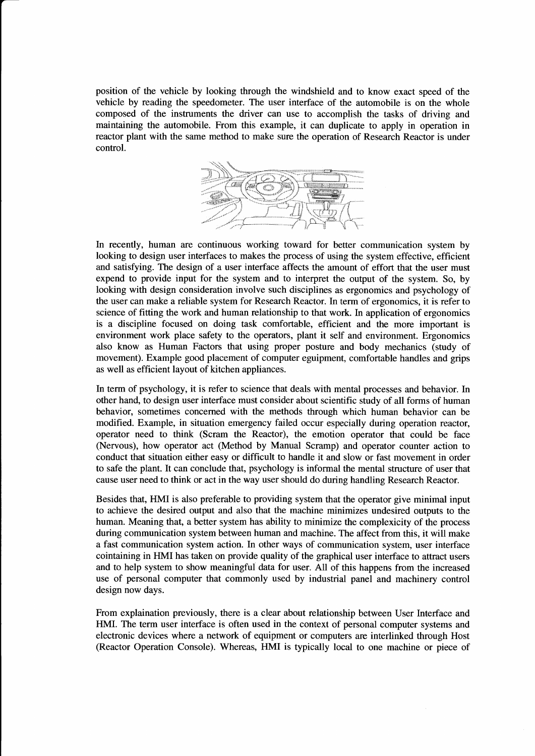position of the vehicle by looking through the windshield and to know exact speed of the vehicle by reading the speedometer. The user interface of the automobile is on the whole composed of the instruments the driver can use to accomplish the tasks of driving and maintaining the automobile. From this example, it can duplicate to apply in operation in reactor plant with the same method to make sure the operation of Research Reactor is under control.



In recently, human are continuous working toward for better communication system by looking to design user interfaces to makes the process of using the system effective, efficient and satisfying. The design of a user interface affects the amount of effort that the user must expend to provide input for the system and to interpret the output of the system. So, by looking with design consideration involve such disciplines as ergonomics and psychology of the user can make a reliable system for Research Reactor. In term of ergonomics, it is refer to science of fitting the work and human relationship to that work. In application of ergonomics is a discipline focused on doing task comfortable, efficient and the more important is environment work place safety to the operators, plant it self and environment. Ergonomics also know as Human Factors that using proper posture and body mechanics (study of movement). Example good placement of computer eguipment, comfortable handles and grips as well as efficient layout of kitchen appliances.

In term of psychology, it is refer to science that deals with mental processes and behavior. In other hand, to design user interface must consider about scientific study of all forms of human behavior, sometimes concerned with the methods through which human behavior can be modified. Example, in situation emergency failed occur especially during operation reactor, operator need to think (Scram the Reactor), the emotion operator that could be face (Nervous), how operator act (Method by Manual Scramp) and operator counter action to conduct that situation either easy or difficult to handle it and slow or fast movement in order to safe the plant. It can conclude that, psychology is informal the mental structure of user that cause user need to think or act in the way user should do during handling Research Reactor.

Besides that, HMI is also preferable to providing system that the operator give minimal input to achieve the desired output and also that the machine minimizes undesired outputs to the human. Meaning that, a better system has ability to minimize the complexicity of the process during communication system between human and machine. The affect from this, it will make a fast communication system action. In other ways of communication system, user interface cointaining in HMI has taken on provide quality of the graphical user interface to attract users and to help system to show meaningful data for user. All of this happens from the increased use of personal computer that commonly used by industrial panel and machinery control design now days.

From explaination previously, there is a clear about relationship between User Interface and HMI. The term user interface is often used in the context of personal computer systems and electronic devices where a network of equipment or computers are interlinked through Host (Reactor Operation Console). Whereas, HMI is typically local to one machine or piece of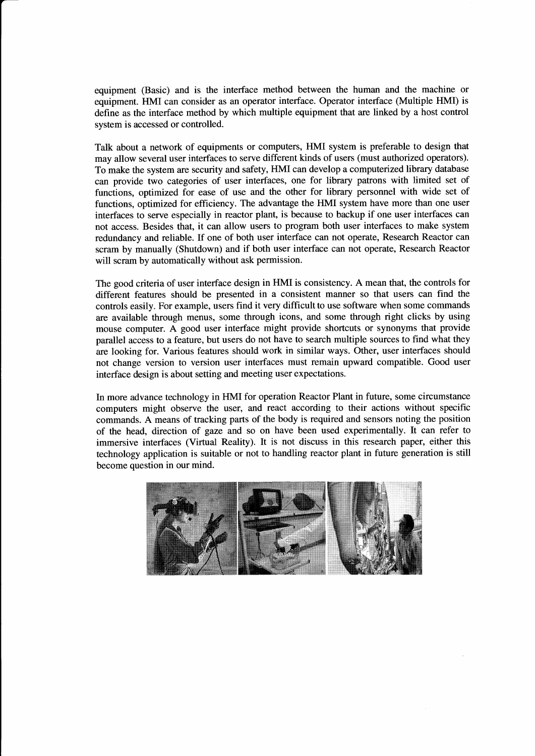equipment (Basic) and is the interface method between the human and the machine or equipment. HMI can consider as an operator interface. Operator interface (Multiple HMI) is define as the interface method by which multiple equipment that are linked by a host control system is accessed or controlled.

Talk about a network of equipments or computers, HMI system is preferable to design that may allow several user interfaces to serve different kinds of users (must authorized operators). To make the system are security and safety, HMI can develop a computerized library database can provide two categories of user interfaces, one for library patrons with limited set of functions, optimized for ease of use and the other for library personnel with wide set of functions, optimized for efficiency. The advantage the HMI system have more than one user interfaces to serve especially in reactor plant, is because to backup if one user interfaces can not access. Besides that, it can allow users to program both user interfaces to make system redundancy and reliable. If one of both user interface can not operate, Research Reactor can scram by manually (Shutdown) and if both user interface can not operate, Research Reactor will scram by automatically without ask permission.

The good criteria of user interface design in HMI is consistency. A mean that, the controls for different features should be presented in a consistent manner so that users can find the controls easily. For example, users find it very difficult to use software when some commands are available through menus, some through icons, and some through right clicks by using mouse computer. A good user interface might provide shortcuts or synonyms that provide parallel access to a feature, but users do not have to search multiple sources to find what they are looking for. Various features should work in similar ways. Other, user interfaces should not change version to version user interfaces must remain upward compatible. Good user interface design is about setting and meeting user expectations.

In more advance technology in HMI for operation Reactor Plant in future, some circumstance computers might observe the user, and react according to their actions without specific commands. A means of tracking parts of the body is required and sensors noting the position of the head, direction of gaze and so on have been used experimentally. It can refer to immersive interfaces (Virtual Reality). It is not discuss in this research paper, either this technology application is suitable or not to handling reactor plant in future generation is still become question in our mind.

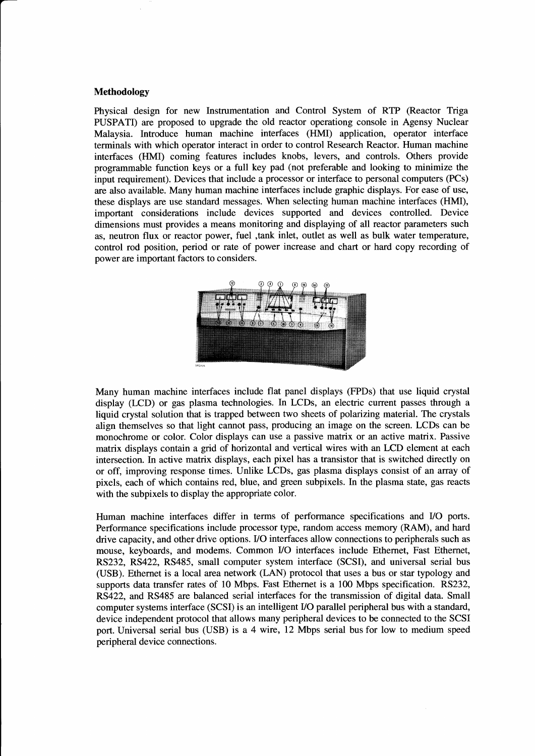### **Methodology**

Physical design for new Instrumentation and Control System of RTP (Reactor Triga PUSPATI) are proposed to upgrade the old reactor operationg console in Agensy Nuclear Malaysia. Introduce human machine interfaces (HMI) application, operator interface terminals with which operator interact in order to control Research Reactor. Human machine interfaces (HMI) coming features includes knobs, levers, and controls. Others provide programmable function keys or a full key pad (not preferable and looking to minimize the input requirement). Devices that include a processor or interface to personal computers (PCs) are also available. Many human machine interfaces include graphic displays. For ease of use, these displays are use standard messages. When selecting human machine interfaces (HMI), important considerations include devices supported and devices controlled. Device dimensions must provides a means monitoring and displaying of all reactor parameters such as, neutron flux or reactor power, fuel ,tank inlet, outlet as well as bulk water temperature, control rod position, period or rate of power increase and chart or hard copy recording of power are important factors to considers.



Many human machine interfaces include flat panel displays (FPDs) that use liquid crystal display (LCD) or gas plasma technologies. In LCDs, an electric current passes through a liquid crystal solution that is trapped between two sheets of polarizing material. The crystals align themselves so that light cannot pass, producing an image on the screen. LCDs can be monochrome or color. Color displays can use a passive matrix or an active matrix. Passive matrix displays contain a grid of horizontal and vertical wires with an LCD element at each intersection. In active matrix displays, each pixel has a transistor that is switched directly on or off, improving response times. Unlike LCDs, gas plasma displays consist of an array of pixels, each of which contains red, blue, and green subpixels. In the plasma state, gas reacts with the subpixels to display the appropriate color.

Human machine interfaces differ in terms of performance specifications and I/O ports. Performance specifications include processor type, random access memory (RAM), and hard drive capacity, and other drive options. I/O interfaces allow connections to peripherals such as mouse, keyboards, and modems. Common I/O interfaces include Ethernet, Fast Ethernet, RS232, RS422, RS485, small computer system interface (SCSI), and universal serial bus (USB). Ethernet is a local area network (LAN) protocol that uses a bus or star typology and supports data transfer rates of 10 Mbps. Fast Ethernet is a 100 Mbps specification. RS232, RS422, and RS485 are balanced serial interfaces for the transmission of digital data. Small computer systems interface (SCSI) is an intelligent I/O parallel peripheral bus with a standard, device independent protocol that allows many peripheral devices to be connected to the SCSI port. Universal serial bus (USB) is a 4 wire, 12 Mbps serial bus for low to medium speed peripheral device connections.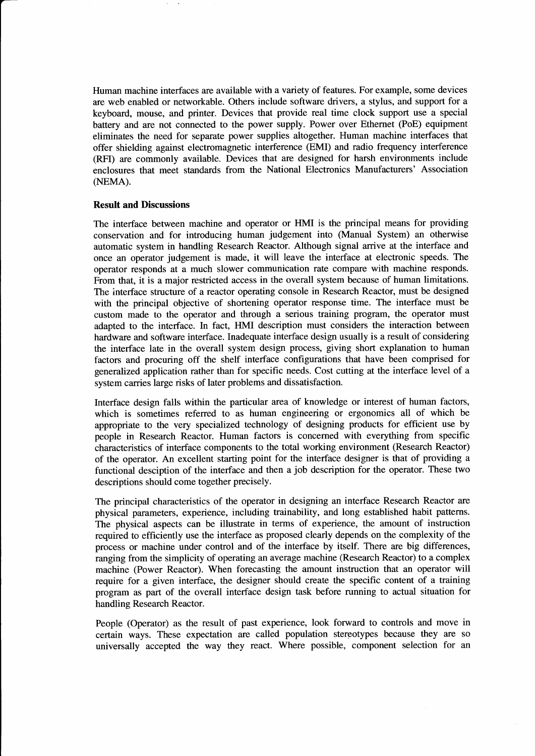Human machine interfaces are available with a variety of features. For example, some devices are web enabled or networkable. Others include software drivers, a stylus, and support for a keyboard, mouse, and printer. Devices that provide real time clock support use a special battery and are not connected to the power supply. Power over Ethernet (PoE) equipment eliminates the need for separate power supplies altogether. Human machine interfaces that offer shielding against electromagnetic interference (EMI) and radio frequency interference (RFI) are commonly available. Devices that are designed for harsh environments include enclosures that meet standards from the National Electronics Manufacturers' Association (NEMA).

### **Result and Discussions**

The interface between machine and operator or HMI is the principal means for providing conservation and for introducing human judgement into (Manual System) an otherwise automatic system in handling Research Reactor. Although signal arrive at the interface and once an operator judgement is made, it will leave the interface at electronic speeds. The operator responds at a much slower communication rate compare with machine responds. From that, it is a major restricted access in the overall system because of human limitations. The interface structure of a reactor operating console in Research Reactor, must be designed with the principal objective of shortening operator response time. The interface must be custom made to the operator and through a serious training program, the operator must adapted to the interface. In fact, HMI description must considers the interaction between hardware and software interface. Inadequate interface design usually is a result of considering the interface late in the overall system design process, giving short explanation to human factors and procuring off the shelf interface configurations that have been comprised for generalized application rather than for specific needs. Cost cutting at the interface level of a system carries large risks of later problems and dissatisfaction.

Interface design falls within the particular area of knowledge or interest of human factors, which is sometimes referred to as human engineering or ergonomics all of which be appropriate to the very specialized technology of designing products for efficient use by people in Research Reactor. Human factors is concerned with everything from specific characteristics of interface components to the total working environment (Research Reactor) of the operator. An excellent starting point for the interface designer is that of providing a functional desciption of the interface and then a job description for the operator. These two descriptions should come together precisely.

The principal characteristics of the operator in designing an interface Research Reactor are physical parameters, experience, including trainability, and long established habit patterns. The physical aspects can be illustrate in terms of experience, the amount of instruction required to efficiently use the interface as proposed clearly depends on the complexity of the process or machine under control and of the interface by itself. There are big differences, ranging from the simplicity of operating an average machine (Research Reactor) to a complex machine (Power Reactor). When forecasting the amount instruction that an operator will require for a given interface, the designer should create the specific content of a training program as part of the overall interface design task before running to actual situation for handling Research Reactor.

People (Operator) as the result of past experience, look forward to controls and move in certain ways. These expectation are called population stereotypes because they are so universally accepted the way they react. Where possible, component selection for an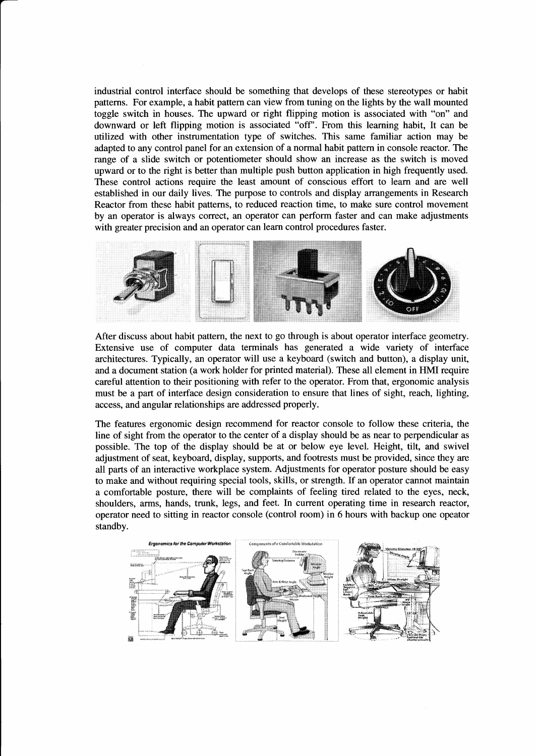industrial control interface should be something that develops of these stereotypes or habit patterns. For example, a habit pattern can view from tuning on the lights by the wall mounted toggle switch in houses. The upward or right flipping motion is associated with "on" and downward or left flipping motion is associated "off'. From this learning habit, It can be utilized with other instrumentation type of switches. This same familiar action may be adapted to any control panel for an extension of a normal habit pattern in console reactor. The range of a slide switch or potentiometer should show an increase as the switch is moved upward or to the right is better than multiple push button application in high frequently used. These control actions require the least amount of conscious effort to learn and are well established in our daily lives. The purpose to controls and display arrangements in Research Reactor from these habit patterns, to reduced reaction time, to make sure control movement by an operator is always correct, an operator can perform faster and can make adjustments with greater precision and an operator can learn control procedures faster.



After discuss about habit pattern, the next to go through is about operator interface geometry. Extensive use of computer data terminals has generated a wide variety of interface architectures. Typically, an operator will use a keyboard (switch and button), a display unit, and a document station (a work holder for printed material). These all element in HMI require careful attention to their positioning with refer to the operator. From that, ergonomic analysis must be a part of interface design consideration to ensure that lines of sight, reach, lighting, access, and angular relationships are addressed properly.

The features ergonomic design recommend for reactor console to follow these criteria, the line of sight from the operator to the center of a display should be as near to perpendicular as possible. The top of the display should be at or below eye level. Height, tilt, and swivel adjustment of seat, keyboard, display, supports, and footrests must be provided, since they are all parts of an interactive workplace system. Adjustments for operator posture should be easy to make and without requiring special tools, skills, or strength. If an operator cannot maintain a comfortable posture, there will be complaints of feeling tired related to the eyes, neck, shoulders, arms, hands, trunk, legs, and feet. In current operating time in research reactor, operator need to sitting in reactor console (control room) in 6 hours with backup one opeator standby.

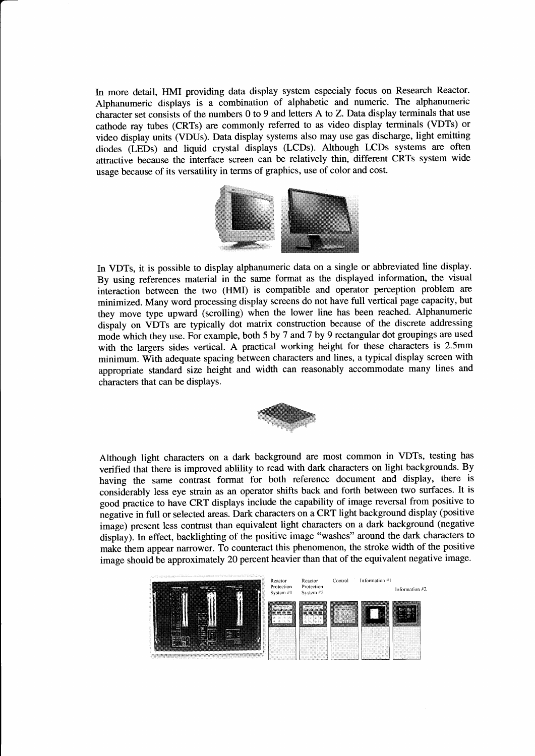In more detail, HMI providing data display system especialy focus on Research Reactor. Alphanumeric displays is a combination of alphabetic and numeric. The alphanumeric character set consists of the numbers 0 to 9 and letters A to Z. Data display terminals that use cathode ray tubes (CRTs) are commonly referred to as video display terminals (VDTs) or video display units (VDUs). Data display systems also may use gas discharge, light emitting diodes (LEDs) and liquid crystal displays (LCDs). Although LCDs systems are often attractive because the interface screen can be relatively thin, different CRTs system wide usage because of its versatility in terms of graphics, use of color and cost.



In VDTs, it is possible to display alphanumeric data on a single or abbreviated line display. By using references material in the same format as the displayed information, the visual interaction between the two (HMI) is compatible and operator perception problem are minimized. Many word processing display screens do not have full vertical page capacity, but they move type upward (scrolling) when the lower line has been reached. Alphanumeric dispaly on VDTs are typically dot matrix construction because of the discrete addressing mode which they use. For example, both 5 by 7 and 7 by 9 rectangular dot groupings are used with the largers sides vertical. A practical working height for these characters is 2.5mm minimum. With adequate spacing between characters and lines, a typical display screen with appropriate standard size height and width can reasonably accommodate many lines and characters that can be displays.



Although light characters on a dark background are most common in VDTs, testing has verified that there is improved ablility to read with dark characters on light backgrounds. By having the same contrast format for both reference document and display, there is considerably less eye strain as an operator shifts back and forth between two surfaces. It is good practice to have CRT displays include the capability of image reversal from positive to negative in full or selected areas. Dark characters on a CRT light background display (positive image) present less contrast than equivalent light characters on a dark background (negative display). In effect, backlighting of the positive image "washes" around the dark characters to make them appear narrower. To counteract this phenomenon, the stroke width of the positive image should be approximately 20 percent heavier than that of the equivalent negative image.

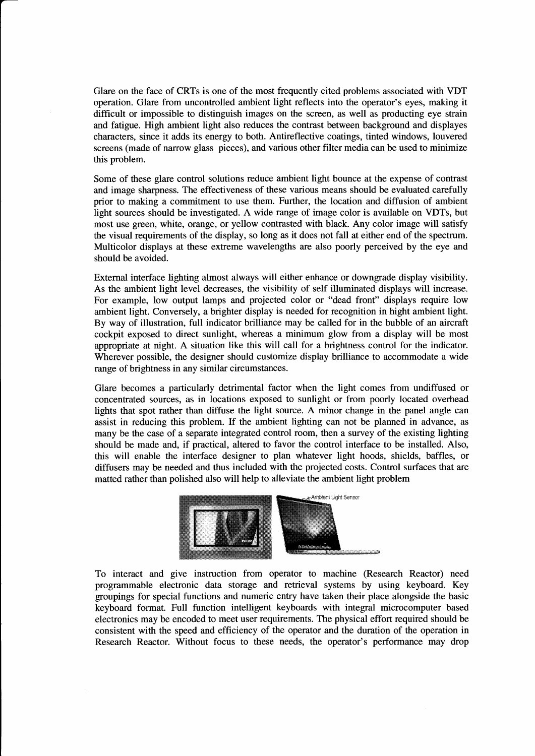Glare on the face of CRTs is one of the most frequently cited problems associated with VDT operation. Glare from uncontrolled ambient light reflects into the operator's eyes, making it difficult or impossible to distinguish images on the screen, as well as producting eye strain and fatigue. High ambient light also reduces the contrast between background and displayes characters, since it adds its energy to both. Antireflective coatings, tinted windows, louvered screens (made of narrow glass pieces), and various other filter media can be used to minimize this problem.

Some of these glare control solutions reduce ambient light bounce at the expense of contrast and image sharpness. The effectiveness of these various means should be evaluated carefully prior to making a commitment to use them. Further, the location and diffusion of ambient light sources should be investigated. A wide range of image color is available on VDTs, but most use green, white, orange, or yellow contrasted with black. Any color image will satisfy the visual requirements of the display, so long as it does not fall at either end of the spectrum. Multicolor displays at these extreme wavelengths are also poorly perceived by the eye and should be avoided.

External interface lighting almost always will either enhance or downgrade display visibility. As the ambient light level decreases, the visibility of self illuminated displays will increase. For example, low output lamps and projected color or "dead front" displays require low ambient light. Conversely, a brighter display is needed for recognition in hight ambient light. By way of illustration, full indicator brilliance may be called for in the bubble of an aircraft cockpit exposed to direct sunlight, whereas a minimum glow from a display will be most appropriate at night. A situation like this will call for a brightness control for the indicator. Wherever possible, the designer should customize display brilliance to accommodate a wide range of brightness in any similar circumstances.

Glare becomes a particularly detrimental factor when the light comes from undiffused or concentrated sources, as in locations exposed to sunlight or from poorly located overhead lights that spot rather than diffuse the light source. A minor change in the panel angle can assist in reducing this problem. If the ambient lighting can not be planned in advance, as many be the case of a separate integrated control room, then a survey of the existing lighting should be made and, if practical, altered to favor the control interface to be installed. Also, this will enable the interface designer to plan whatever light hoods, shields, baffles, or diffusers may be needed and thus included with the projected costs. Control surfaces that are matted rather than polished also will help to alleviate the ambient light problem



To interact and give instruction from operator to machine (Research Reactor) need programmable electronic data storage and retrieval systems by using keyboard. Key groupings for special functions and numeric entry have taken their place alongside the basic keyboard format. Full function intelligent keyboards with integral microcomputer based electronics may be encoded to meet user requirements. The physical effort required should be consistent with the speed and efficiency of the operator and the duration of the operation in Research Reactor. Without focus to these needs, the operator's performance may drop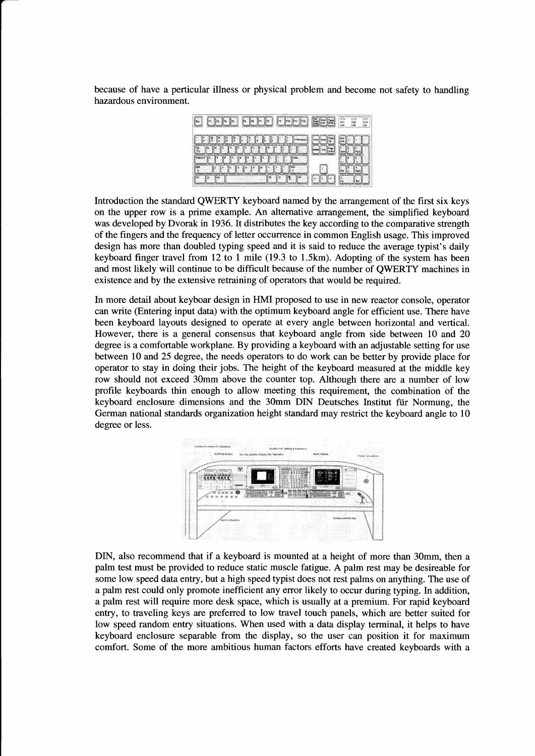because of have a perticular illness or physical problem and become not safety to handling hazardous environment.

|  | ija (m.<br>Şn.<br>*€*্, | gans gan | య<br>m<br>C.<br>w.<br>-99<br>58<br>×. |
|--|-------------------------|----------|---------------------------------------|
|  |                         |          |                                       |
|  |                         | tooc     |                                       |
|  |                         |          |                                       |
|  |                         |          |                                       |

Introduction the standard QWERTY keyboard named by the arrangement of the first six keys on the upper row is a prime example. An alternative arrangement, the simplified keyboard was developed by Dvorak in 1936. It distributes the key according to the comparative strength of the fingers and the frequency of letter occurrence in common English usage. This improved design has more than doubled typing speed and it is said to reduce the average typist's daily keyboard finger travel from 12 to 1 mile (19.3 to 1.5km). Adopting of the system has been and most likely will continue to be difficult because of the number of QWERTY machines in existence and by the extensive retraining of operators that would be required.

In more detail about keyboar design in HMI proposed to use in new reactor console, operator can write (Entering input data) with the optimum keyboard angle for efficient use. There have been keyboard layouts designed to operate at every angle between horizontal and vertical. However, there is a general consensus that keyboard angle from side between 10 and 20 degree is a comfortable workplane. By providing a keyboard with an adjustable setting for use between 10 and 25 degree, the needs operators to do work can be better by provide place for operator to stay in doing their jobs. The height of the keyboard measured at the middle key row should not exceed 30mm above the counter top. Although there are a number of low profile keyboards thin enough to allow meeting this requirement, the combination of the keyboard enclosure dimensions and the 30mm DIN Deutsches Institut fiir Normung, the German national standards organization height standard may restrict the keyboard angle to 10 degree or less.



DIN, also recommend that if a keyboard is mounted at a height of more than 30mm, then a palm test must be provided to reduce static muscle fatigue. A palm rest may be desireable for some low speed data entry, but a high speed typist does not rest palms on anything. The use of a palm rest could only promote inefficient any error likely to occur during typing. In addition, a palm rest will require more desk space, which is usually at a premium. For rapid keyboard entry, to traveling keys are preferred to low travel touch panels, which are better suited for low speed random entry situations. When used with a data display terminal, it helps to have keyboard enclosure separable from the display, so the user can position it for maximum comfort. Some of the more ambitious human factors efforts have created keyboards with a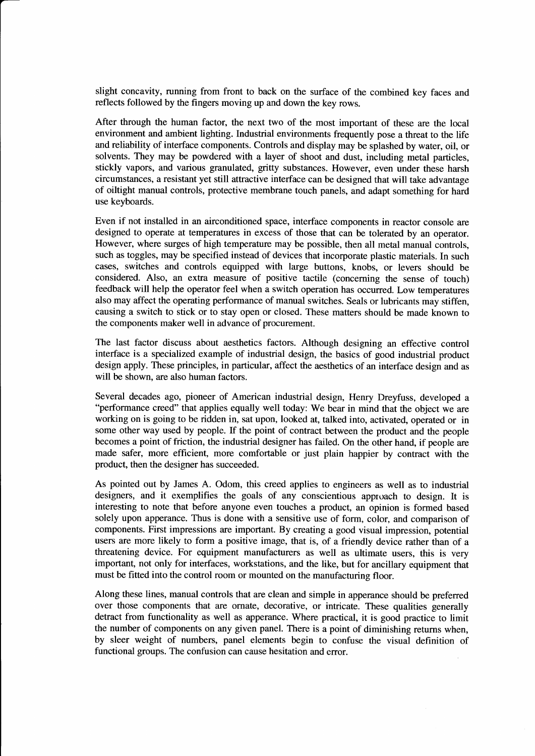slight concavity, running from front to back on the surface of the combined key faces and reflects followed by the fingers moving up and down the key rows.

After through the human factor, the next two of the most important of these are the local environment and ambient lighting. Industrial environments frequently pose a threat to the life and reliability of interface components. Controls and display may be splashed by water, oil, or solvents. They may be powdered with a layer of shoot and dust, including metal particles, stickly vapors, and various granulated, gritty substances. However, even under these harsh circumstances, a resistant yet still attractive interface can be designed that will take advantage of oiltight manual controls, protective membrane touch panels, and adapt something for hard use keyboards.

Even if not installed in an airconditioned space, interface components in reactor console are designed to operate at temperatures in excess of those that can be tolerated by an operator. However, where surges of high temperature may be possible, then all metal manual controls, such as toggles, may be specified instead of devices that incorporate plastic materials. In such cases, switches and controls equipped with large buttons, knobs, or levers should be considered. Also, an extra measure of positive tactile (concerning the sense of touch) feedback will help the operator feel when a switch operation has occurred. Low temperatures also may affect the operating performance of manual switches. Seals or lubricants may stiffen, causing a switch to stick or to stay open or closed. These matters should be made known to the components maker well in advance of procurement.

The last factor discuss about aesthetics factors. Although designing an effective control interface is a specialized example of industrial design, the basics of good industrial product design apply. These principles, in particular, affect the aesthetics of an interface design and as will be shown, are also human factors.

Several decades ago, pioneer of American industrial design, Henry Dreyfuss, developed a "performance creed" that applies equally well today: We bear in mind that the object we are working on is going to be ridden in, sat upon, looked at, talked into, activated, operated or in some other way used by people. If the point of contract between the product and the people becomes a point of friction, the industrial designer has failed. On the other hand, if people are made safer, more efficient, more comfortable or just plain happier by contract with the product, then the designer has succeeded.

As pointed out by James A. Odom, this creed applies to engineers as well as to industrial designers, and it exemplifies the goals of any conscientious approach to design. It is interesting to note that before anyone even touches a product, an opinion is formed based solely upon apperance. Thus is done with a sensitive use of form, color, and comparison of components. First impressions are important. By creating a good visual impression, potential users are more likely to form a positive image, that is, of a friendly device rather than of a threatening device. For equipment manufacturers as well as ultimate users, this is very important, not only for interfaces, workstations, and the like, but for ancillary equipment that must be fitted into the control room or mounted on the manufacturing floor.

Along these lines, manual controls that are clean and simple in apperance should be preferred over those components that are ornate, decorative, or intricate. These qualities generally detract from functionality as well as apperance. Where practical, it is good practice to limit the number of components on any given panel. There is a point of diminishing returns when, by sleer weight of numbers, panel elements begin to confuse the visual definition of functional groups. The confusion can cause hesitation and error.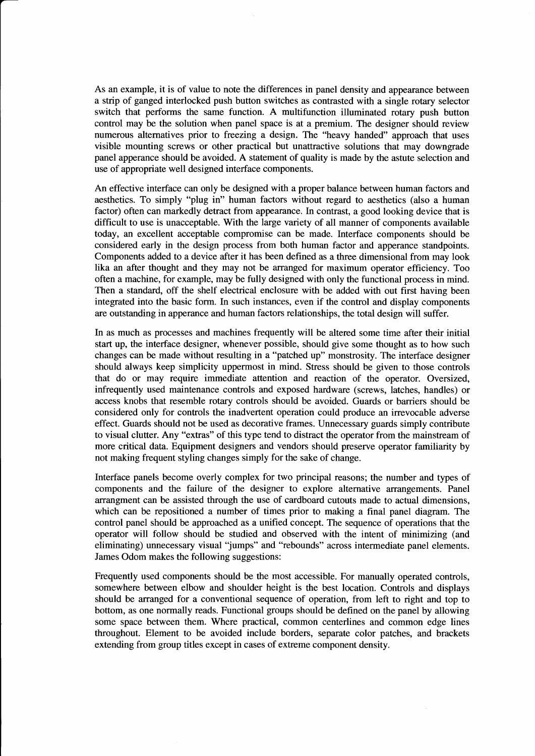As an example, it is of value to note the differences in panel density and appearance between a strip of ganged interlocked push button switches as contrasted with a single rotary selector switch that performs the same function. A multifunction illuminated rotary push button control may be the solution when panel space is at a premium. The designer should review numerous alternatives prior to freezing a design. The "heavy handed" approach that uses visible mounting screws or other practical but unattractive solutions that may downgrade panel apperance should be avoided. A statement of quality is made by the astute selection and use of appropriate well designed interface components.

An effective interface can only be designed with a proper balance between human factors and aesthetics. To simply "plug in" human factors without regard to aesthetics (also a human factor) often can markedly detract from appearance. In contrast, a good looking device that is difficult to use is unacceptable. With the large variety of all manner of components available today, an excellent acceptable compromise can be made. Interface components should be considered early in the design process from both human factor and apperance standpoints. Components added to a device after it has been defined as a three dimensional from may look lika an after thought and they may not be arranged for maximum operator efficiency. Too often a machine, for example, may be fully designed with only the functional process in mind. Then a standard, off the shelf electrical enclosure with be added with out first having been integrated into the basic form. In such instances, even if the control and display components are outstanding in apperance and human factors relationships, the total design will suffer.

In as much as processes and machines frequently will be altered some time after their initial start up, the interface designer, whenever possible, should give some thought as to how such changes can be made without resulting in a "patched up" monstrosity. The interface designer should always keep simplicity uppermost in mind. Stress should be given to those controls that do or may require immediate attention and reaction of the operator. Oversized, infrequently used maintenance controls and exposed hardware (screws, latches, handles) or access knobs that resemble rotary controls should be avoided. Guards or barriers should be considered only for controls the inadvertent operation could produce an irrevocable adverse effect. Guards should not be used as decorative frames. Unnecessary guards simply contribute to visual clutter. Any "extras" of this type tend to distract the operator from the mainstream of more critical data. Equipment designers and vendors should preserve operator familiarity by not making frequent styling changes simply for the sake of change.

Interface panels become overly complex for two principal reasons; the number and types of components and the failure of the designer to explore alternative arrangements. Panel arrangment can be assisted through the use of cardboard cutouts made to actual dimensions, which can be repositioned a number of times prior to making a final panel diagram. The control panel should be approached as a unified concept. The sequence of operations that the operator will follow should be studied and observed with the intent of minimizing (and eliminating) unnecessary visual "jumps" and "rebounds" across intermediate panel elements. James Odom makes the following suggestions:

Frequently used components should be the most accessible. For manually operated controls, somewhere between elbow and shoulder height is the best location. Controls and displays should be arranged for a conventional sequence of operation, from left to right and top to bottom, as one normally reads. Functional groups should be defined on the panel by allowing some space between them. Where practical, common centerlines and common edge lines throughout. Element to be avoided include borders, separate color patches, and brackets extending from group titles except in cases of extreme component density.